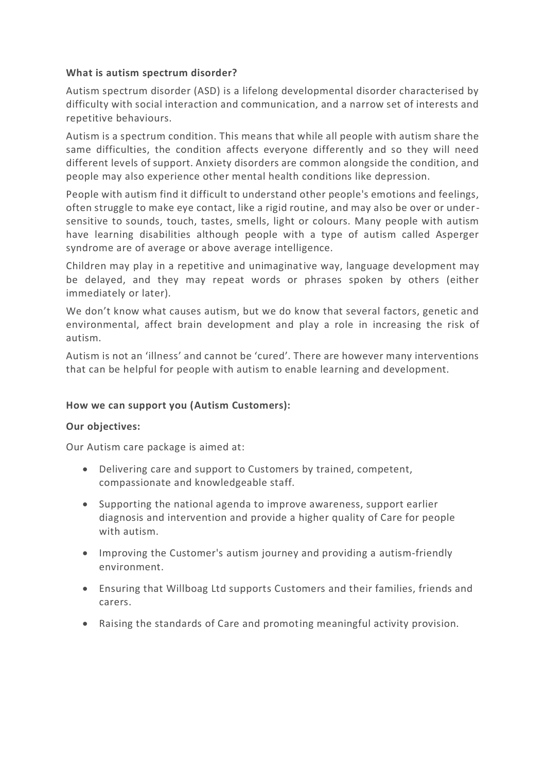#### **What is autism spectrum disorder?**

Autism spectrum disorder (ASD) is a lifelong developmental disorder characterised by difficulty with social interaction and communication, and a narrow set of interests and repetitive behaviours.

Autism is a spectrum condition. This means that while all people with autism share the same difficulties, the condition affects everyone differently and so they will need different levels of support. Anxiety disorders are common alongside the condition, and people may also experience other mental health conditions like depression.

People with autism find it difficult to understand other people's emotions and feelings, often struggle to make eye contact, like a rigid routine, and may also be over or undersensitive to sounds, touch, tastes, smells, light or colours. Many people with autism have learning disabilities although people with a type of autism called Asperger syndrome are of average or above average intelligence.

Children may play in a repetitive and unimaginative way, language development may be delayed, and they may repeat words or phrases spoken by others (either immediately or later).

We don't know what causes autism, but we do know that several factors, genetic and environmental, affect brain development and play a role in increasing the risk of autism.

Autism is not an 'illness' and cannot be 'cured'. There are however many interventions that can be helpful for people with autism to enable learning and development.

## **How we can support you (Autism Customers):**

#### **Our objectives:**

Our Autism care package is aimed at:

- Delivering care and support to Customers by trained, competent, compassionate and knowledgeable staff.
- Supporting the national agenda to improve awareness, support earlier diagnosis and intervention and provide a higher quality of Care for people with autism.
- Improving the Customer's autism journey and providing a autism-friendly environment.
- Ensuring that Willboag Ltd supports Customers and their families, friends and carers.
- Raising the standards of Care and promoting meaningful activity provision.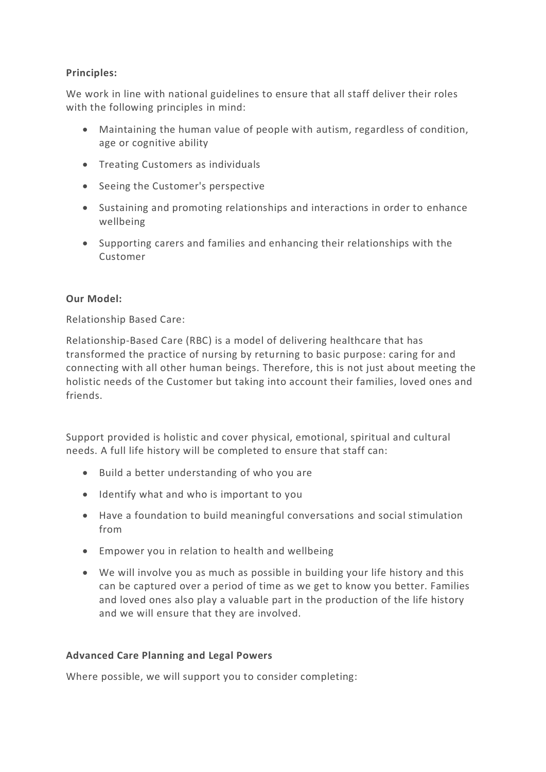## **Principles:**

We work in line with national guidelines to ensure that all staff deliver their roles with the following principles in mind:

- Maintaining the human value of people with autism, regardless of condition, age or cognitive ability
- Treating Customers as individuals
- Seeing the Customer's perspective
- Sustaining and promoting relationships and interactions in order to enhance wellbeing
- Supporting carers and families and enhancing their relationships with the Customer

## **Our Model:**

Relationship Based Care:

Relationship-Based Care (RBC) is a model of delivering healthcare that has transformed the practice of nursing by returning to basic purpose: caring for and connecting with all other human beings. Therefore, this is not just about meeting the holistic needs of the Customer but taking into account their families, loved ones and friends.

Support provided is holistic and cover physical, emotional, spiritual and cultural needs. A full life history will be completed to ensure that staff can:

- Build a better understanding of who you are
- Identify what and who is important to you
- Have a foundation to build meaningful conversations and social stimulation from
- Empower you in relation to health and wellbeing
- We will involve you as much as possible in building your life history and this can be captured over a period of time as we get to know you better. Families and loved ones also play a valuable part in the production of the life history and we will ensure that they are involved.

## **Advanced Care Planning and Legal Powers**

Where possible, we will support you to consider completing: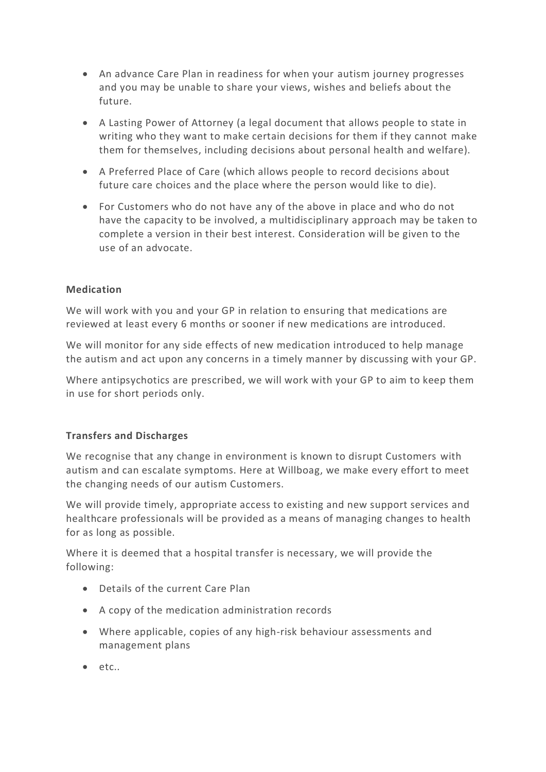- An advance Care Plan in readiness for when your autism journey progresses and you may be unable to share your views, wishes and beliefs about the future.
- A Lasting Power of Attorney (a legal document that allows people to state in writing who they want to make certain decisions for them if they cannot make them for themselves, including decisions about personal health and welfare).
- A Preferred Place of Care (which allows people to record decisions about future care choices and the place where the person would like to die).
- For Customers who do not have any of the above in place and who do not have the capacity to be involved, a multidisciplinary approach may be taken to complete a version in their best interest. Consideration will be given to the use of an advocate.

## **Medication**

We will work with you and your GP in relation to ensuring that medications are reviewed at least every 6 months or sooner if new medications are introduced.

We will monitor for any side effects of new medication introduced to help manage the autism and act upon any concerns in a timely manner by discussing with your GP.

Where antipsychotics are prescribed, we will work with your GP to aim to keep them in use for short periods only.

## **Transfers and Discharges**

We recognise that any change in environment is known to disrupt Customers with autism and can escalate symptoms. Here at Willboag, we make every effort to meet the changing needs of our autism Customers.

We will provide timely, appropriate access to existing and new support services and healthcare professionals will be provided as a means of managing changes to health for as long as possible.

Where it is deemed that a hospital transfer is necessary, we will provide the following:

- Details of the current Care Plan
- A copy of the medication administration records
- Where applicable, copies of any high-risk behaviour assessments and management plans
- etc..